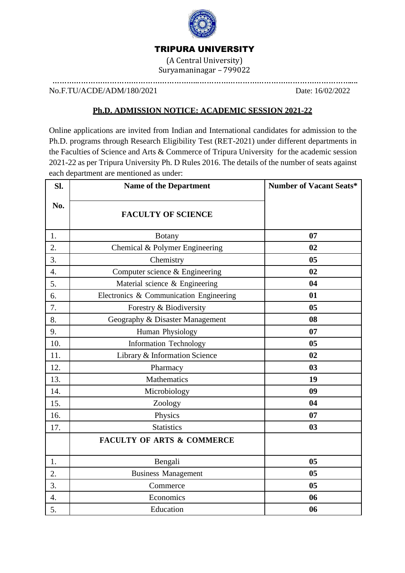

## TRIPURA UNIVERSITY

(A Central University) Suryamaninagar – 799022

……………………………………………………..………………………………………………………....

No.F.TU/ACDE/ADM/180/2021 Date: 16/02/2022

### **Ph.D. ADMISSION NOTICE: ACADEMIC SESSION 2021-22**

Online applications are invited from Indian and International candidates for admission to the Ph.D. programs through Research Eligibility Test (RET-2021) under different departments in the Faculties of Science and Arts & Commerce of Tripura University for the academic session 2021-22 as per Tripura University Ph. D Rules 2016. The details of the number of seats against each department are mentioned as under:

| Sl.              | <b>Name of the Department</b>           | <b>Number of Vacant Seats*</b> |
|------------------|-----------------------------------------|--------------------------------|
| No.              | <b>FACULTY OF SCIENCE</b>               |                                |
| 1.               | <b>Botany</b>                           | 07                             |
| $\overline{2}$ . | Chemical & Polymer Engineering          | 02                             |
| 3.               | Chemistry                               | 0 <sub>5</sub>                 |
| 4.               | Computer science & Engineering          | 02                             |
| 5.               | Material science & Engineering          | 04                             |
| 6.               | Electronics & Communication Engineering | 01                             |
| 7.               | Forestry & Biodiversity                 | 0 <sub>5</sub>                 |
| 8.               | Geography & Disaster Management         | 08                             |
| 9.               | Human Physiology                        | 07                             |
| 10.              | Information Technology                  | 0 <sub>5</sub>                 |
| 11.              | Library & Information Science           | 02                             |
| 12.              | Pharmacy                                | 03                             |
| 13.              | Mathematics                             | 19                             |
| 14.              | Microbiology                            | 09                             |
| 15.              | Zoology                                 | 04                             |
| 16.              | Physics                                 | 07                             |
| 17.              | <b>Statistics</b>                       | 0 <sub>3</sub>                 |
|                  | <b>FACULTY OF ARTS &amp; COMMERCE</b>   |                                |
| 1.               | Bengali                                 | 0 <sub>5</sub>                 |
| $\overline{2}$ . | <b>Business Management</b>              | 0 <sub>5</sub>                 |
| 3.               | Commerce                                | 0 <sub>5</sub>                 |
| 4.               | Economics                               | 06                             |
| 5.               | Education                               | 06                             |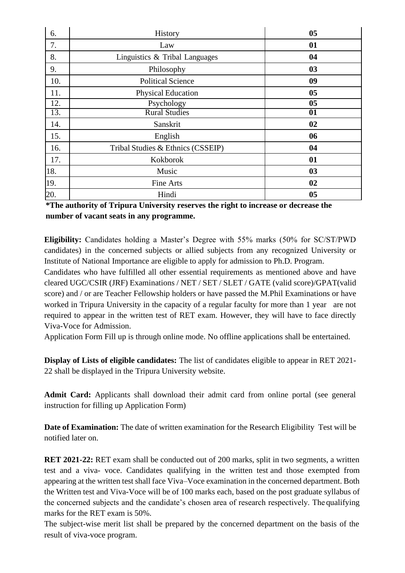| 6.  | History                           | 05             |
|-----|-----------------------------------|----------------|
| 7.  | Law                               | 01             |
| 8.  | Linguistics & Tribal Languages    | 04             |
| 9.  | Philosophy                        | 03             |
| 10. | <b>Political Science</b>          | 09             |
| 11. | <b>Physical Education</b>         | 0 <sub>5</sub> |
| 12. | Psychology                        | 0 <sub>5</sub> |
| 13. | <b>Rural Studies</b>              | 01             |
| 14. | Sanskrit                          | 02             |
| 15. | English                           | 06             |
| 16. | Tribal Studies & Ethnics (CSSEIP) | 04             |
| 17. | Kokborok                          | 01             |
| 18. | Music                             | 03             |
| 19. | Fine Arts                         | 02             |
| 20. | Hindi                             | 0 <sub>5</sub> |

**\*The authority of Tripura University reserves the right to increase or decrease the number of vacant seats in any programme.**

**Eligibility:** Candidates holding a Master's Degree with 55% marks (50% for SC/ST/PWD candidates) in the concerned subjects or allied subjects from any recognized University or Institute of National Importance are eligible to apply for admission to Ph.D. Program.

Candidates who have fulfilled all other essential requirements as mentioned above and have cleared UGC/CSIR (JRF) Examinations / NET / SET / SLET / GATE (valid score)/GPAT(valid score) and / or are Teacher Fellowship holders or have passed the M.Phil Examinations or have worked in Tripura University in the capacity of a regular faculty for more than 1 year are not required to appear in the written test of RET exam. However, they will have to face directly Viva-Voce for Admission.

Application Form Fill up is through online mode. No offline applications shall be entertained.

**Display of Lists of eligible candidates:** The list of candidates eligible to appear in RET 2021- 22 shall be displayed in the Tripura University website.

**Admit Card:** Applicants shall download their admit card from online portal (see general instruction for filling up Application Form)

**Date of Examination:** The date of written examination for the Research Eligibility Test will be notified later on.

**RET 2021-22:** RET exam shall be conducted out of 200 marks, split in two segments, a written test and a viva- voce. Candidates qualifying in the written test and those exempted from appearing at the written test shall face Viva–Voce examination in the concerned department. Both the Written test and Viva-Voce will be of 100 marks each, based on the post graduate syllabus of the concerned subjects and the candidate's chosen area of research respectively. The qualifying marks for the RET exam is 50%.

The subject-wise merit list shall be prepared by the concerned department on the basis of the result of viva-voce program.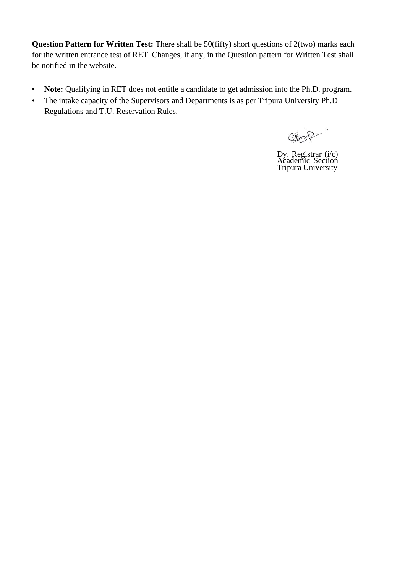**Question Pattern for Written Test:** There shall be 50(fifty) short questions of 2(two) marks each for the written entrance test of RET. Changes, if any, in the Question pattern for Written Test shall be notified in the website.

- **Note:** Qualifying in RET does not entitle a candidate to get admission into the Ph.D. program.
- The intake capacity of the Supervisors and Departments is as per Tripura University Ph.D Regulations and T.U. Reservation Rules.

D

Dy. Registrar (i/c) Academic Section Tripura University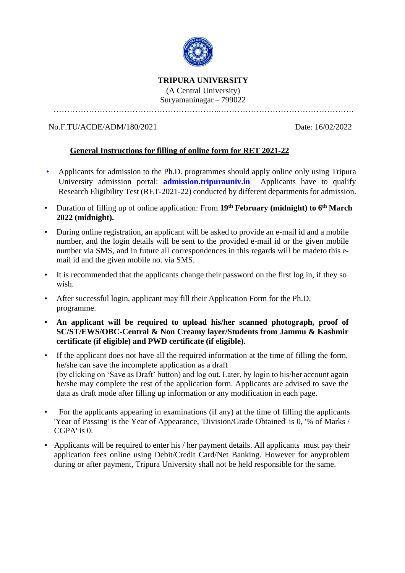

#### **TRIPURA UNIVERSITY**

(A Central University) Suryamaninagar – 799022

……………………………………………………..………………………………………….

#### No.F.TU/ACDE/ADM/180/2021 Date: 16/02/2022

#### **General Instructions for filling of online form for RET 2021-22**

- Applicants for admission to the Ph.D. programmes should apply online only using Tripura University admission portal: **[admission.tripurauniv.in](http://www.tripurauniv.in/)** Applicants have to qualify Research Eligibility Test (RET-2021-22) conducted by different departments for admission.
- Duration of filling up of online application: From **19th February (midnight) to 6 th March 2022 (midnight).**
- During online registration, an applicant will be asked to provide an e-mail id and a mobile number, and the login details will be sent to the provided e-mail id or the given mobile number via SMS, and in future all correspondences in this regards will be madeto this email id and the given mobile no. via SMS.
- It is recommended that the applicants change their password on the first log in, if they so wish.
- After successful login, applicant may fill their Application Form for the Ph.D. programme.
- **An applicant will be required to upload his/her scanned photograph, proof of SC/ST/EWS/OBC-Central & Non Creamy layer/Students from Jammu & Kashmir certificate (if eligible) and PWD certificate (if eligible).**
- If the applicant does not have all the required information at the time of filling the form, he/she can save the incomplete application as a draft (by clicking on 'Save as Draft' button) and log out. Later, by login to his/her account again he/she may complete the rest of the application form. Applicants are advised to save the data as draft mode after filling up information or any modification in each page.
- For the applicants appearing in examinations (if any) at the time of filling the applicants 'Year of Passing' is the Year of Appearance, 'Division/Grade Obtained' is 0, '% of Marks / CGPA' is 0.
- Applicants will be required to enter his / her payment details. All applicants must pay their application fees online using Debit/Credit Card/Net Banking. However for anyproblem during or after payment, Tripura University shall not be held responsible for the same.